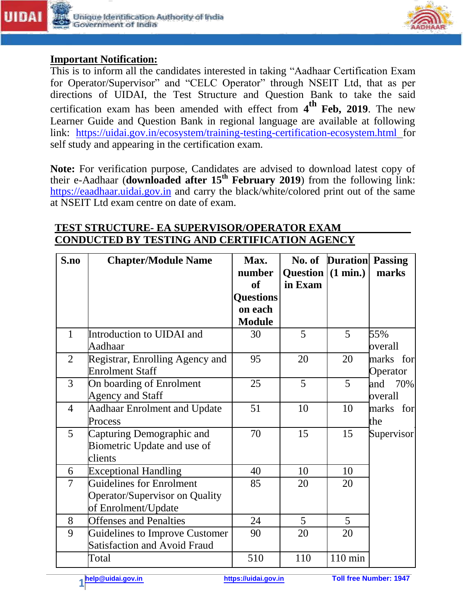



## **Important Notification:**

This is to inform all the candidates interested in taking "Aadhaar Certification Exam for Operator/Supervisor" and "CELC Operator" through NSEIT Ltd, that as per directions of UIDAI, the Test Structure and Question Bank to take the said certification exam has been amended with effect from **4 th Feb, 2019**. The new Learner Guide and Question Bank in regional language are available at following link: <https://uidai.gov.in/ecosystem/training-testing-certification-ecosystem.html> for self study and appearing in the certification exam.

**Note:** For verification purpose, Candidates are advised to download latest copy of their e-Aadhaar (**downloaded after 15th February 2019**) from the following link: [https://eaadhaar.uidai.gov.in](https://eaadhaar.uidai.gov.in/) and carry the black/white/colored print out of the same at NSEIT Ltd exam centre on date of exam.

## **S.no Chapter/Module Name** | **Max.** | **No. of Duration Passing**  $number$  **Question**  $(1 min.)$  **marks of in Exam Questions on each Module** 1 Introduction to UIDAI and 30 5 5 55% Aadhaar overall 2 Registrar, Enrolling Agency and 95 20 20 marks for Enrolment Staff **Container Staff** Container and Container and Container and Container and Container Container 3 On boarding of Enrolment 25 5 5 and 70% Agency and Staff and Staff overall 4 Aadhaar Enrolment and Update 51 10 10 marks for Process the contract of the contract of the contract of the contract of the contract of the contract of the contract of the contract of the contract of the contract of the contract of the contract of the contract of the co 5 Capturing Demographic and 70 15 15 Supervisor Biometric Update and use of clients 6 Exceptional Handling 10 10 10 7 Guidelines for Enrolment 1 85 20 20 Operator/Supervisor on Quality of Enrolment/Update 8 Offenses and Penalties 1 24 5 5 9 Guidelines to Improve Customer 90 20 20 Satisfaction and Avoid Fraud Total 10 110 nin

## **TEST STRUCTURE- EA SUPERVISOR/OPERATOR EXAM CONDUCTED BY TESTING AND CERTIFICATION AGENCY**